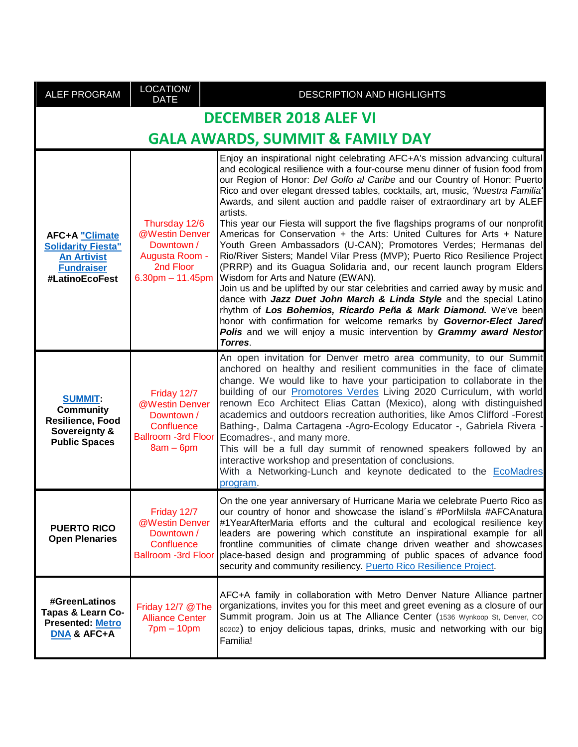| <b>ALEF PROGRAM</b>                                                                                             | LOCATION/<br><b>DATE</b>                                                                               | DESCRIPTION AND HIGHLIGHTS                                                                                                                                                                                                                                                                                                                                                                                                                                                                                                                                                                                                                                                                                                                                                                                                                                                                                                                                                                                                                                                                                                                                                                                                              |  |
|-----------------------------------------------------------------------------------------------------------------|--------------------------------------------------------------------------------------------------------|-----------------------------------------------------------------------------------------------------------------------------------------------------------------------------------------------------------------------------------------------------------------------------------------------------------------------------------------------------------------------------------------------------------------------------------------------------------------------------------------------------------------------------------------------------------------------------------------------------------------------------------------------------------------------------------------------------------------------------------------------------------------------------------------------------------------------------------------------------------------------------------------------------------------------------------------------------------------------------------------------------------------------------------------------------------------------------------------------------------------------------------------------------------------------------------------------------------------------------------------|--|
| <b>DECEMBER 2018 ALEF VI</b>                                                                                    |                                                                                                        |                                                                                                                                                                                                                                                                                                                                                                                                                                                                                                                                                                                                                                                                                                                                                                                                                                                                                                                                                                                                                                                                                                                                                                                                                                         |  |
| <b>GALA AWARDS, SUMMIT &amp; FAMILY DAY</b>                                                                     |                                                                                                        |                                                                                                                                                                                                                                                                                                                                                                                                                                                                                                                                                                                                                                                                                                                                                                                                                                                                                                                                                                                                                                                                                                                                                                                                                                         |  |
| <b>AFC+A "Climate</b><br><b>Solidarity Fiesta"</b><br><b>An Artivist</b><br><b>Fundraiser</b><br>#LatinoEcoFest | Thursday 12/6<br>@Westin Denver<br>Downtown /<br>Augusta Room -<br>2nd Floor<br>$6.30pm - 11.45pm$     | Enjoy an inspirational night celebrating AFC+A's mission advancing cultural<br>and ecological resilience with a four-course menu dinner of fusion food from<br>our Region of Honor: Del Golfo al Caribe and our Country of Honor: Puerto<br>Rico and over elegant dressed tables, cocktails, art, music, 'Nuestra Familia'<br>Awards, and silent auction and paddle raiser of extraordinary art by ALEF<br>artists.<br>This year our Fiesta will support the five flagships programs of our nonprofit<br>Americas for Conservation + the Arts: United Cultures for Arts + Nature<br>Youth Green Ambassadors (U-CAN); Promotores Verdes; Hermanas del<br>Rio/River Sisters; Mandel Vilar Press (MVP); Puerto Rico Resilience Project<br>(PRRP) and its Guagua Solidaria and, our recent launch program Elders<br>Wisdom for Arts and Nature (EWAN).<br>Join us and be uplifted by our star celebrities and carried away by music and<br>dance with Jazz Duet John March & Linda Style and the special Latino<br>rhythm of Los Bohemios, Ricardo Peña & Mark Diamond. We've been<br>honor with confirmation for welcome remarks by Governor-Elect Jared<br>Polis and we will enjoy a music intervention by Grammy award Nestor<br>Torres. |  |
| <b>SUMMIT:</b><br><b>Community</b><br>Resilience, Food<br>Sovereignty &<br><b>Public Spaces</b>                 | Friday 12/7<br>@Westin Denver<br>Downtown /<br>Confluence<br><b>Ballroom -3rd Floor</b><br>$8am - 6pm$ | An open invitation for Denver metro area community, to our Summit<br>anchored on healthy and resilient communities in the face of climate<br>change. We would like to have your participation to collaborate in the<br>building of our <b>Promotores Verdes</b> Living 2020 Curriculum, with world<br>renown Eco Architect Elias Cattan (Mexico), along with distinguished<br>academics and outdoors recreation authorities, like Amos Clifford -Forest<br>Bathing-, Dalma Cartagena -Agro-Ecology Educator -, Gabriela Rivera -<br>Ecomadres-, and many more.<br>This will be a full day summit of renowned speakers followed by an<br>interactive workshop and presentation of conclusions.<br>With a Networking-Lunch and keynote dedicated to the EcoMadres<br>program.                                                                                                                                                                                                                                                                                                                                                                                                                                                             |  |
| <b>PUERTO RICO</b><br><b>Open Plenaries</b>                                                                     | Friday 12/7<br>@Westin Denver<br>Downtown /<br>Confluence<br><b>Ballroom -3rd Floor</b>                | On the one year anniversary of Hurricane Maria we celebrate Puerto Rico as<br>our country of honor and showcase the island's #PorMilsla #AFCAnatura<br>#1YearAfterMaria efforts and the cultural and ecological resilience key<br>leaders are powering which constitute an inspirational example for all<br>frontline communities of climate change driven weather and showcases<br>place-based design and programming of public spaces of advance food<br>security and community resiliency. Puerto Rico Resilience Project.                                                                                                                                                                                                                                                                                                                                                                                                                                                                                                                                                                                                                                                                                                           |  |
| #GreenLatinos<br><b>Tapas &amp; Learn Co-</b><br><b>Presented: Metro</b><br><b>DNA &amp; AFC+A</b>              | Friday 12/7 @The<br><b>Alliance Center</b><br>$7pm - 10pm$                                             | AFC+A family in collaboration with Metro Denver Nature Alliance partner<br>organizations, invites you for this meet and greet evening as a closure of our<br>Summit program. Join us at The Alliance Center (1536 Wynkoop St, Denver, CO<br>80202) to enjoy delicious tapas, drinks, music and networking with our big<br>Familia!                                                                                                                                                                                                                                                                                                                                                                                                                                                                                                                                                                                                                                                                                                                                                                                                                                                                                                      |  |